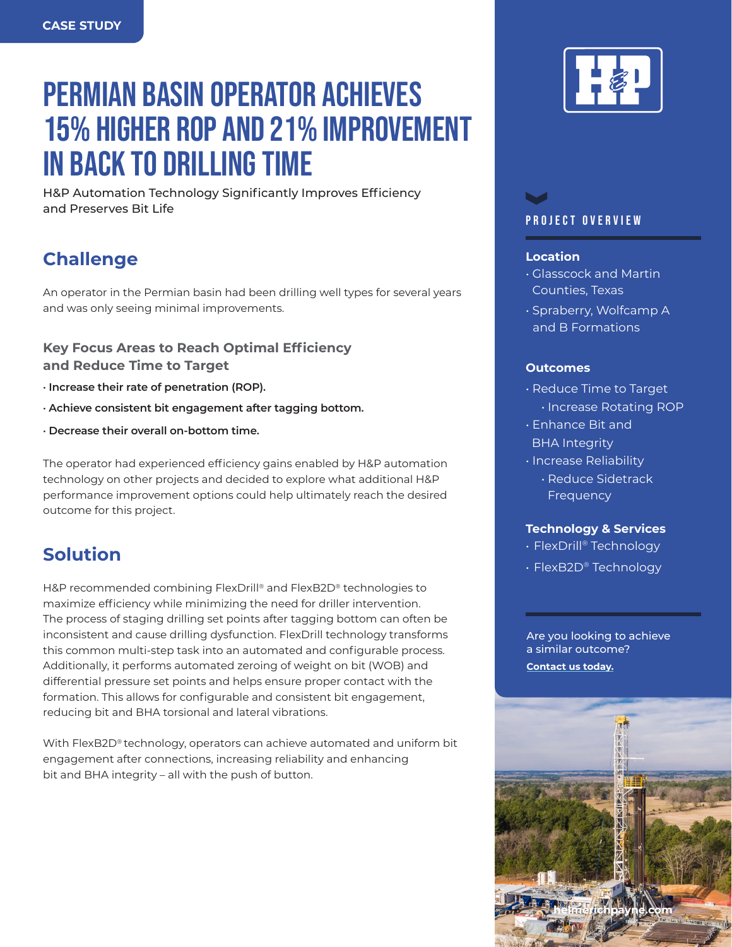# PERMIAN BASIN OPERATOR ACHIEVES 15% HIGHER ROP AND 21% IMPROVEMENT IN BACK TO DRILLING TIME

H&P Automation Technology Significantly Improves Efficiency and Preserves Bit Life

# **Challenge**

An operator in the Permian basin had been drilling well types for several years and was only seeing minimal improvements.

**Key Focus Areas to Reach Optimal Efficiency and Reduce Time to Target**

- **· Increase their rate of penetration (ROP).**
- **· Achieve consistent bit engagement after tagging bottom.**
- **· Decrease their overall on-bottom time.**

The operator had experienced efficiency gains enabled by H&P automation technology on other projects and decided to explore what additional H&P performance improvement options could help ultimately reach the desired outcome for this project.

# **Solution**

H&P recommended combining FlexDrill® and FlexB2D® technologies to maximize efficiency while minimizing the need for driller intervention. The process of staging drilling set points after tagging bottom can often be inconsistent and cause drilling dysfunction. FlexDrill technology transforms this common multi-step task into an automated and configurable process. Additionally, it performs automated zeroing of weight on bit (WOB) and differential pressure set points and helps ensure proper contact with the formation. This allows for configurable and consistent bit engagement, reducing bit and BHA torsional and lateral vibrations.

With FlexB2D® technology, operators can achieve automated and uniform bit engagement after connections, increasing reliability and enhancing bit and BHA integrity – all with the push of button.



# PROJECT OVERVIEW

#### **Location**

- Glasscock and Martin Counties, Texas
- Spraberry, Wolfcamp A and B Formations

#### **Outcomes**

- Reduce Time to Target • Increase Rotating ROP
- Enhance Bit and BHA Integrity
- Increase Reliability
	- Reduce Sidetrack Frequency

#### **Technology & Services**

- FlexDrill® Technology
- FlexB2D® Technology

Are you looking to achieve a similar outcome?

**[Contact us today.](mailto:webmaster@hpinc.com)**